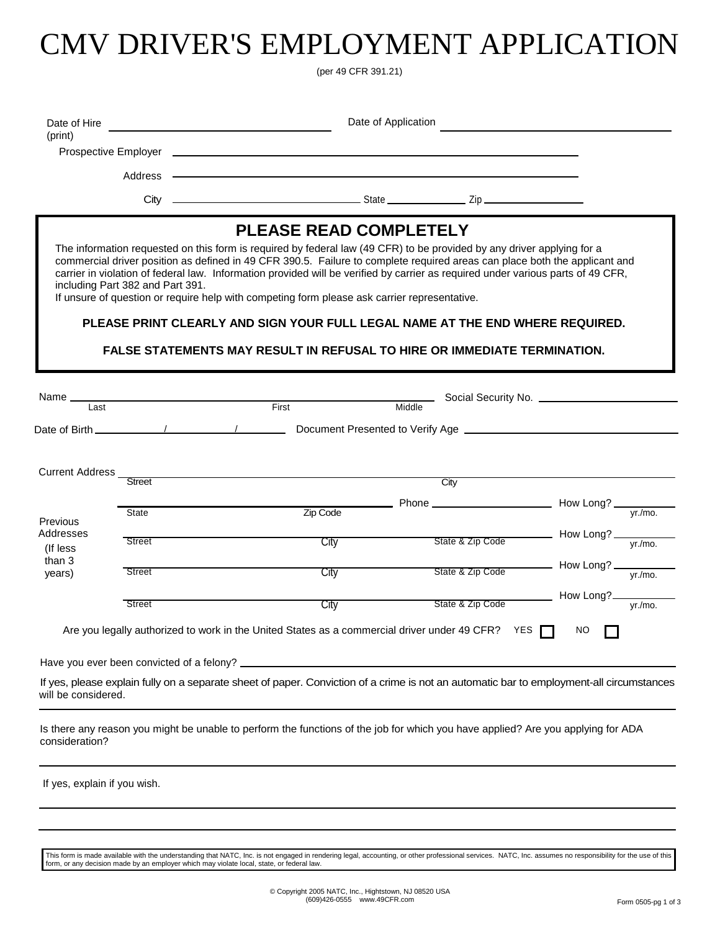# CMV DRIVER'S EMPLOYMENT APPLICATION

(per 49 CFR 391.21)

| Date of Hire<br>(print)      |                                  |                                                                                              |                               | Date of Application |                                                                                                                                                                                                                                                                                                                                                                                                                                                                                                                                                       |             |                            |
|------------------------------|----------------------------------|----------------------------------------------------------------------------------------------|-------------------------------|---------------------|-------------------------------------------------------------------------------------------------------------------------------------------------------------------------------------------------------------------------------------------------------------------------------------------------------------------------------------------------------------------------------------------------------------------------------------------------------------------------------------------------------------------------------------------------------|-------------|----------------------------|
|                              |                                  |                                                                                              |                               |                     |                                                                                                                                                                                                                                                                                                                                                                                                                                                                                                                                                       |             |                            |
|                              | Address -                        |                                                                                              |                               |                     |                                                                                                                                                                                                                                                                                                                                                                                                                                                                                                                                                       |             |                            |
|                              | $City =$                         |                                                                                              |                               |                     |                                                                                                                                                                                                                                                                                                                                                                                                                                                                                                                                                       |             |                            |
|                              | including Part 382 and Part 391. | If unsure of question or require help with competing form please ask carrier representative. | <b>PLEASE READ COMPLETELY</b> |                     | The information requested on this form is required by federal law (49 CFR) to be provided by any driver applying for a<br>commercial driver position as defined in 49 CFR 390.5. Failure to complete required areas can place both the applicant and<br>carrier in violation of federal law. Information provided will be verified by carrier as required under various parts of 49 CFR,<br>PLEASE PRINT CLEARLY AND SIGN YOUR FULL LEGAL NAME AT THE END WHERE REQUIRED.<br>FALSE STATEMENTS MAY RESULT IN REFUSAL TO HIRE OR IMMEDIATE TERMINATION. |             |                            |
| Name _                       | <b>Last</b>                      | First                                                                                        |                               | Middle              |                                                                                                                                                                                                                                                                                                                                                                                                                                                                                                                                                       |             |                            |
|                              |                                  |                                                                                              |                               |                     |                                                                                                                                                                                                                                                                                                                                                                                                                                                                                                                                                       |             |                            |
| <b>Current Address</b>       | Street                           |                                                                                              |                               |                     | City                                                                                                                                                                                                                                                                                                                                                                                                                                                                                                                                                  |             |                            |
| Previous                     | <b>State</b>                     |                                                                                              | Zip Code                      |                     |                                                                                                                                                                                                                                                                                                                                                                                                                                                                                                                                                       |             |                            |
| Addresses<br>(If less        | Street                           |                                                                                              | City                          |                     | State & Zip Code                                                                                                                                                                                                                                                                                                                                                                                                                                                                                                                                      | How Long?   | yr./mo.                    |
| than 3<br>years)             | Street                           |                                                                                              | City                          |                     |                                                                                                                                                                                                                                                                                                                                                                                                                                                                                                                                                       |             |                            |
|                              | Street                           |                                                                                              | <b>City</b>                   |                     | State & Zip Code                                                                                                                                                                                                                                                                                                                                                                                                                                                                                                                                      | - How Long? | $\frac{1}{\text{yr./mo.}}$ |
|                              |                                  |                                                                                              |                               |                     | Are you legally authorized to work in the United States as a commercial driver under 49 CFR? YES $\Box$ NO                                                                                                                                                                                                                                                                                                                                                                                                                                            |             |                            |
|                              |                                  |                                                                                              |                               |                     |                                                                                                                                                                                                                                                                                                                                                                                                                                                                                                                                                       |             |                            |
| will be considered.          |                                  |                                                                                              |                               |                     | If yes, please explain fully on a separate sheet of paper. Conviction of a crime is not an automatic bar to employment-all circumstances                                                                                                                                                                                                                                                                                                                                                                                                              |             |                            |
| consideration?               |                                  |                                                                                              |                               |                     | Is there any reason you might be unable to perform the functions of the job for which you have applied? Are you applying for ADA                                                                                                                                                                                                                                                                                                                                                                                                                      |             |                            |
| If yes, explain if you wish. |                                  |                                                                                              |                               |                     |                                                                                                                                                                                                                                                                                                                                                                                                                                                                                                                                                       |             |                            |

This form is made available with the understanding that NATC, Inc. is not engaged in rendering legal, accounting, or other professional services. NATC, Inc. assumes no responsibility for the use of this form, or any decision made by an employer which may violate local, state, or federal law.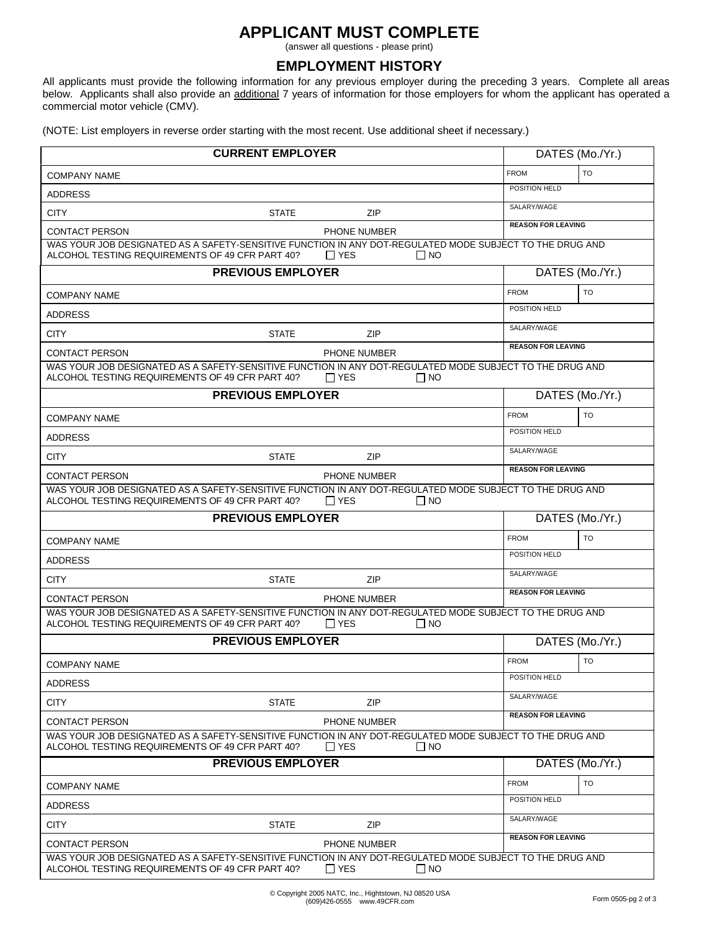## **APPLICANT MUST COMPLETE**

(answer all questions - please print)

### **EMPLOYMENT HISTORY**

All applicants must provide the following information for any previous employer during the preceding 3 years. Complete all areas below. Applicants shall also provide an additional 7 years of information for those employers for whom the applicant has operated a commercial motor vehicle (CMV).

(NOTE: List employers in reverse order starting with the most recent. Use additional sheet if necessary.)

| <b>CURRENT EMPLOYER</b>                                                                                                                                     |                         | DATES (Mo./Yr.)           |
|-------------------------------------------------------------------------------------------------------------------------------------------------------------|-------------------------|---------------------------|
| <b>COMPANY NAME</b>                                                                                                                                         |                         | <b>TO</b><br><b>FROM</b>  |
| <b>ADDRESS</b>                                                                                                                                              |                         | POSITION HELD             |
| <b>CITY</b><br><b>STATE</b>                                                                                                                                 | <b>ZIP</b>              | SALARY/WAGE               |
| <b>CONTACT PERSON</b>                                                                                                                                       | <b>PHONE NUMBER</b>     | <b>REASON FOR LEAVING</b> |
| WAS YOUR JOB DESIGNATED AS A SAFETY-SENSITIVE FUNCTION IN ANY DOT-REGULATED MODE SUBJECT TO THE DRUG AND<br>ALCOHOL TESTING REQUIREMENTS OF 49 CFR PART 40? | $\Box$ YES<br>$\Box$ NO |                           |
| <b>PREVIOUS EMPLOYER</b>                                                                                                                                    |                         | DATES (Mo./Yr.)           |
| <b>COMPANY NAME</b>                                                                                                                                         |                         | <b>FROM</b><br><b>TO</b>  |
| <b>ADDRESS</b>                                                                                                                                              |                         | POSITION HELD             |
| <b>STATE</b><br><b>CITY</b>                                                                                                                                 | ZIP                     | SALARY/WAGE               |
| <b>CONTACT PERSON</b>                                                                                                                                       | <b>PHONE NUMBER</b>     | <b>REASON FOR LEAVING</b> |
| WAS YOUR JOB DESIGNATED AS A SAFETY-SENSITIVE FUNCTION IN ANY DOT-REGULATED MODE SUBJECT TO THE DRUG AND<br>ALCOHOL TESTING REQUIREMENTS OF 49 CFR PART 40? | $\Box$ YES<br>$\Box$ No |                           |
| <b>PREVIOUS EMPLOYER</b>                                                                                                                                    |                         | DATES (Mo./Yr.)           |
| <b>COMPANY NAME</b>                                                                                                                                         |                         | <b>FROM</b><br><b>TO</b>  |
| <b>ADDRESS</b>                                                                                                                                              |                         | POSITION HELD             |
| <b>CITY</b><br><b>STATE</b>                                                                                                                                 | ZIP                     | SALARY/WAGE               |
| <b>CONTACT PERSON</b>                                                                                                                                       | PHONE NUMBER            | <b>REASON FOR LEAVING</b> |
| WAS YOUR JOB DESIGNATED AS A SAFETY-SENSITIVE FUNCTION IN ANY DOT-REGULATED MODE SUBJECT TO THE DRUG AND<br>ALCOHOL TESTING REQUIREMENTS OF 49 CFR PART 40? | $\Box$ YES<br>$\Box$ No |                           |
| <b>PREVIOUS EMPLOYER</b>                                                                                                                                    |                         | DATES (Mo./Yr.)           |
| <b>COMPANY NAME</b>                                                                                                                                         |                         | <b>FROM</b><br><b>TO</b>  |
| <b>ADDRESS</b>                                                                                                                                              |                         | POSITION HELD             |
| <b>CITY</b><br><b>STATE</b>                                                                                                                                 | <b>ZIP</b>              | SALARY/WAGE               |
| <b>CONTACT PERSON</b>                                                                                                                                       | <b>PHONE NUMBER</b>     | <b>REASON FOR LEAVING</b> |
| WAS YOUR JOB DESIGNATED AS A SAFETY-SENSITIVE FUNCTION IN ANY DOT-REGULATED MODE SUBJECT TO THE DRUG AND<br>ALCOHOL TESTING REQUIREMENTS OF 49 CFR PART 40? | $\Box$ YES<br>$\Box$ NO |                           |
| <b>PREVIOUS EMPLOYER</b>                                                                                                                                    |                         | DATES (Mo./Yr.)           |
| <b>COMPANY NAME</b>                                                                                                                                         |                         | <b>FROM</b><br><b>TO</b>  |
| <b>ADDRESS</b>                                                                                                                                              |                         | POSITION HELD             |
| <b>CITY</b><br><b>STATE</b>                                                                                                                                 | ZIP                     | SALARY/WAGE               |
| <b>CONTACT PERSON</b>                                                                                                                                       | <b>PHONE NUMBER</b>     | <b>REASON FOR LEAVING</b> |
| WAS YOUR JOB DESIGNATED AS A SAFETY-SENSITIVE FUNCTION IN ANY DOT-REGULATED MODE SUBJECT TO THE DRUG AND<br>ALCOHOL TESTING REQUIREMENTS OF 49 CFR PART 40? | ∏ YES<br>$\Box$ No      |                           |
| <b>PREVIOUS EMPLOYER</b>                                                                                                                                    |                         | DATES (Mo./Yr.)           |
| <b>COMPANY NAME</b>                                                                                                                                         |                         | <b>TO</b><br><b>FROM</b>  |
|                                                                                                                                                             |                         |                           |
| ADDRESS                                                                                                                                                     |                         | POSITION HELD             |
| <b>CITY</b><br><b>STATE</b>                                                                                                                                 | ZIP                     | SALARY/WAGE               |
| <b>CONTACT PERSON</b>                                                                                                                                       | PHONE NUMBER            | <b>REASON FOR LEAVING</b> |